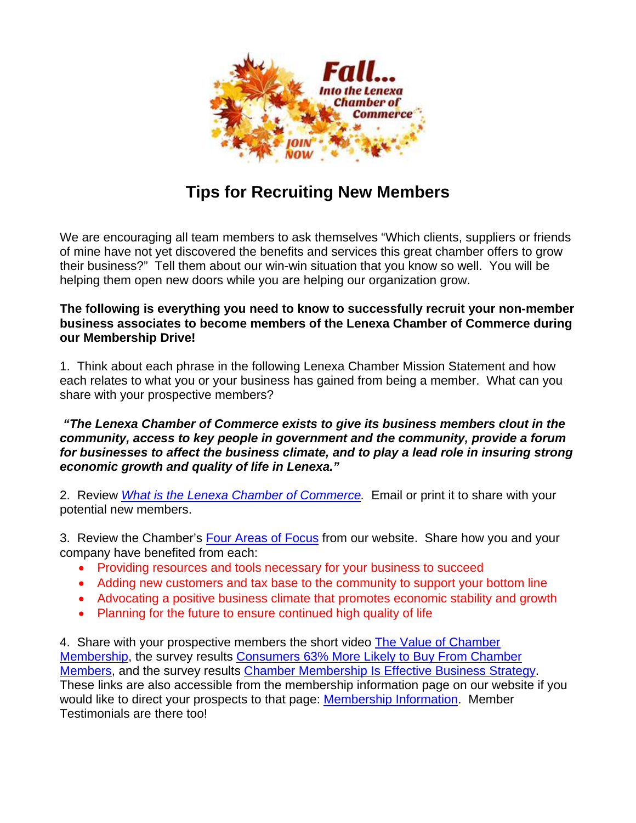

## **Tips for Recruiting New Members**

We are encouraging all team members to ask themselves "Which clients, suppliers or friends of mine have not yet discovered the benefits and services this great chamber offers to grow their business?" Tell them about our win-win situation that you know so well. You will be helping them open new doors while you are helping our organization grow.

## **The following is everything you need to know to successfully recruit your non-member business associates to become members of the Lenexa Chamber of Commerce during our Membership Drive!**

1. Think about each phrase in the following Lenexa Chamber Mission Statement and how each relates to what you or your business has gained from being a member. What can you share with your prospective members?

 *"The Lenexa Chamber of Commerce exists to give its business members clout in the community, access to key people in government and the community, provide a forum for businesses to affect the business climate, and to play a lead role in insuring strong economic growth and quality of life in Lenexa."* 

2. Review *What is the Lenexa Chamber of Commerce.* Email or print it to share with your potential new members.

3. Review the Chamber's Four Areas of Focus from our website. Share how you and your company have benefited from each:

- Providing resources and tools necessary for your business to succeed
- Adding new customers and tax base to the community to support your bottom line
- Advocating a positive business climate that promotes economic stability and growth
- Planning for the future to ensure continued high quality of life

4. Share with your prospective members the short video The Value of Chamber Membership, the survey results Consumers 63% More Likely to Buy From Chamber Members, and the survey results Chamber Membership Is Effective Business Strategy. These links are also accessible from the membership information page on our website if you would like to direct your prospects to that page: Membership Information. Member Testimonials are there too!